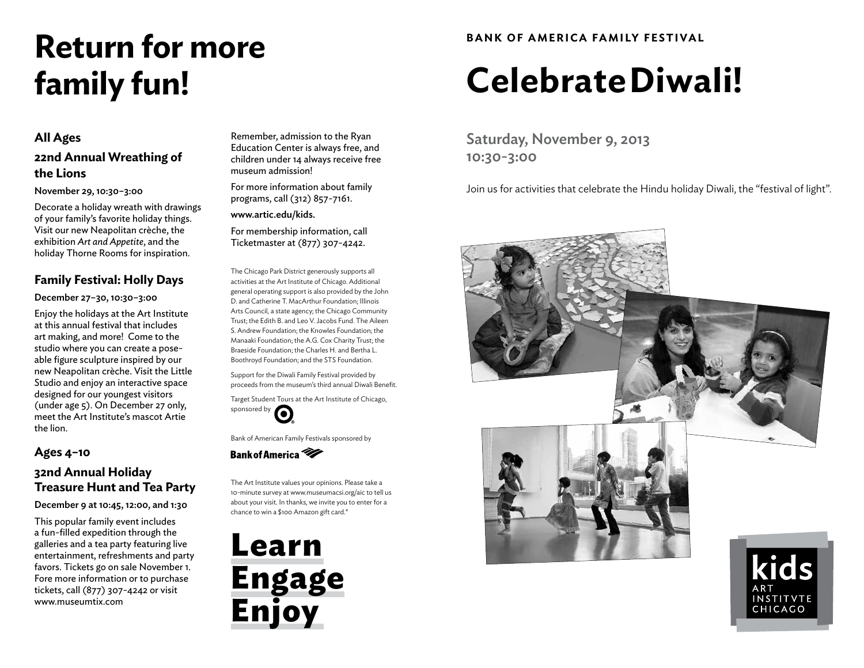# **Return for more family fun!**

#### **All Ages**

### **22nd Annual Wreathing of the Lions**

#### November 29, 10:30–3:00

Decorate a holiday wreath with drawings of your family's favorite holiday things. Visit our new Neapolitan crèche, the exhibition *Art and Appetite*, and the holiday Thorne Rooms for inspiration.

#### **Family Festival: Holly Days**

#### December 27–30, 10:30–3:00

Enjoy the holidays at the Art Institute at this annual festival that includes art making, and more! Come to the studio where you can create a poseable figure sculpture inspired by our new Neapolitan crèche. Visit the Little Studio and enjoy an interactive space designed for our youngest visitors (under age 5). On December 27 only, meet the Art Institute's mascot Artie the lion.

#### **Ages 4–10**

#### **32nd Annual Holiday Treasure Hunt and Tea Party**

December 9 at 10:45, 12:00, and 1:30

This popular family event includes a fun-filled expedition through the galleries and a tea party featuring live entertainment, refreshments and party favors. Tickets go on sale November 1. Fore more information or to purchase tickets, call (877) 307-4242 or visit www.museumtix.com

Remember, admission to the Ryan Education Center is always free, and children under 14 always receive free museum admission!

For more information about family programs, call (312) 857-7161.

www.artic.edu/kids.

For membership information, call Ticketmaster at (877) 307-4242.

The Chicago Park District generously supports all activities at the Art Institute of Chicago. Additional general operating support is also provided by the John D. and Catherine T. MacArthur Foundation; Illinois Arts Council, a state agency; the Chicago Community Trust; the Edith B. and Leo V. Jacobs Fund. The Aileen S. Andrew Foundation; the Knowles Foundation; the Manaaki Foundation; the A.G. Cox Charity Trust; the Braeside Foundation; the Charles H. and Bertha L. Boothroyd Foundation; and the STS Foundation.

Support for the Diwali Family Festival provided by proceeds from the museum's third annual Diwali Benefit.

Target Student Tours at the Art Institute of Chicago, large...<br>sponsored by

Bank of American Family Festivals sponsored by

Bank of America

The Art Institute values your opinions. Please take a 10-minute survey at www.museumacsi.org/aic to tell us about your visit. In thanks, we invite you to enter for a chance to win a \$100 Amazon gift card.\*

**Learn Engage Enjoy**

### **BANK OF AMERICA FAMILY FESTIVAL**

# **Celebrate Diwali!**

Saturday, November 9, 2013 10:30-3:00

Join us for activities that celebrate the Hindu holiday Diwali, the "festival of light".